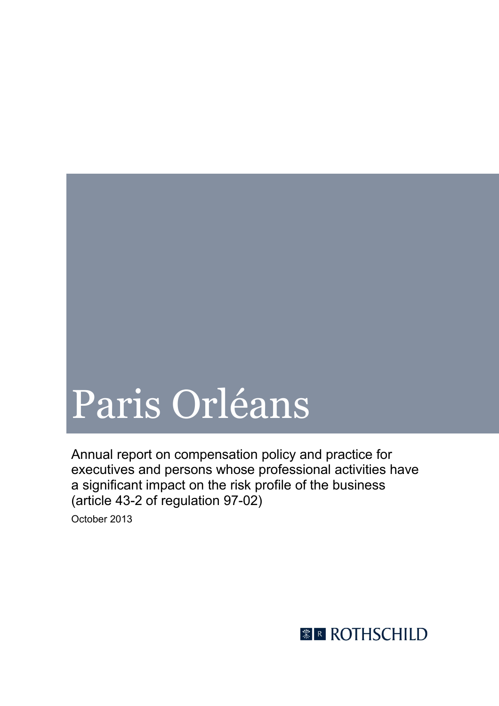# Paris Orléans

Annual report on compensation policy and practice for executives and persons whose professional activities have a significant impact on the risk profile of the business (article 43-2 of regulation 97-02)

October 2013

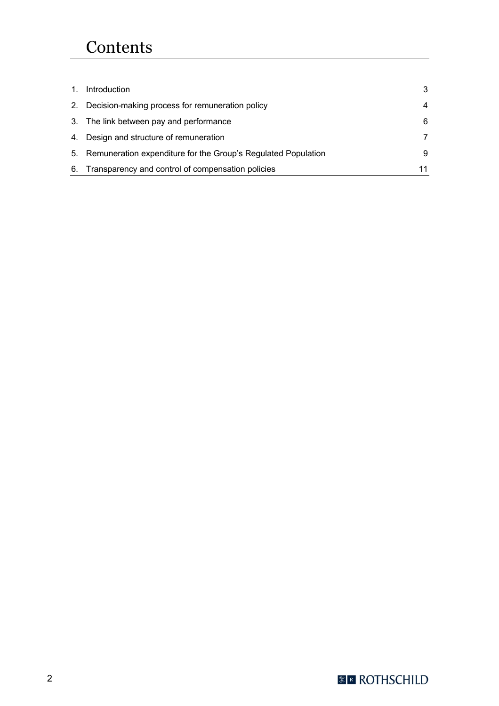# **Contents**

| 1. | Introduction                                                     | 3  |
|----|------------------------------------------------------------------|----|
|    | 2. Decision-making process for remuneration policy               | 4  |
|    | 3. The link between pay and performance                          | 6  |
|    | 4. Design and structure of remuneration                          | 7  |
|    | 5. Remuneration expenditure for the Group's Regulated Population | 9  |
| 6. | Transparency and control of compensation policies                | 11 |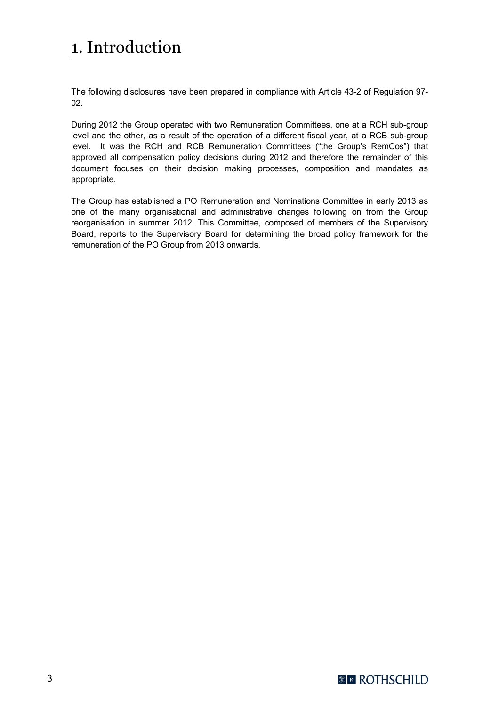# 1. Introduction

The following disclosures have been prepared in compliance with Article 43-2 of Regulation 97- 02.

During 2012 the Group operated with two Remuneration Committees, one at a RCH sub-group level and the other, as a result of the operation of a different fiscal year, at a RCB sub-group level. It was the RCH and RCB Remuneration Committees ("the Group's RemCos") that approved all compensation policy decisions during 2012 and therefore the remainder of this document focuses on their decision making processes, composition and mandates as appropriate.

The Group has established a PO Remuneration and Nominations Committee in early 2013 as one of the many organisational and administrative changes following on from the Group reorganisation in summer 2012. This Committee, composed of members of the Supervisory Board, reports to the Supervisory Board for determining the broad policy framework for the remuneration of the PO Group from 2013 onwards.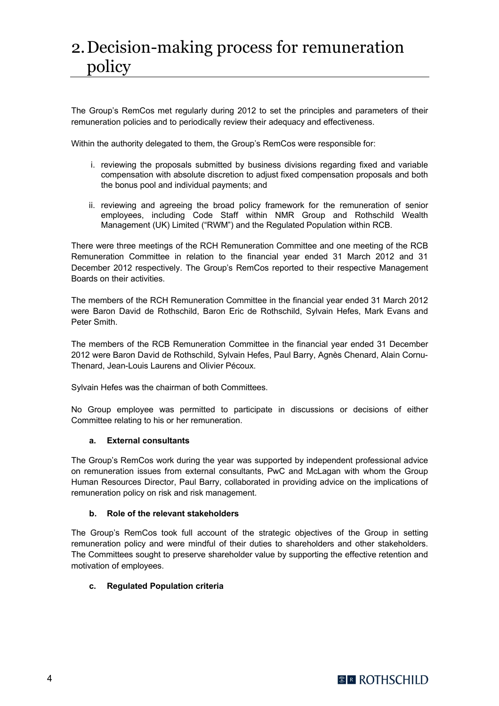# 2.Decision-making process for remuneration policy

The Group's RemCos met regularly during 2012 to set the principles and parameters of their remuneration policies and to periodically review their adequacy and effectiveness.

Within the authority delegated to them, the Group's RemCos were responsible for:

- i. reviewing the proposals submitted by business divisions regarding fixed and variable compensation with absolute discretion to adjust fixed compensation proposals and both the bonus pool and individual payments; and
- ii. reviewing and agreeing the broad policy framework for the remuneration of senior employees, including Code Staff within NMR Group and Rothschild Wealth Management (UK) Limited ("RWM") and the Regulated Population within RCB.

There were three meetings of the RCH Remuneration Committee and one meeting of the RCB Remuneration Committee in relation to the financial year ended 31 March 2012 and 31 December 2012 respectively. The Group's RemCos reported to their respective Management Boards on their activities.

The members of the RCH Remuneration Committee in the financial year ended 31 March 2012 were Baron David de Rothschild, Baron Eric de Rothschild, Sylvain Hefes, Mark Evans and Peter Smith.

The members of the RCB Remuneration Committee in the financial year ended 31 December 2012 were Baron David de Rothschild, Sylvain Hefes, Paul Barry, Agnès Chenard, Alain Cornu-Thenard, Jean-Louis Laurens and Olivier Pécoux.

Sylvain Hefes was the chairman of both Committees.

No Group employee was permitted to participate in discussions or decisions of either Committee relating to his or her remuneration.

## **a. External consultants**

The Group's RemCos work during the year was supported by independent professional advice on remuneration issues from external consultants, PwC and McLagan with whom the Group Human Resources Director, Paul Barry, collaborated in providing advice on the implications of remuneration policy on risk and risk management.

#### **b. Role of the relevant stakeholders**

The Group's RemCos took full account of the strategic objectives of the Group in setting remuneration policy and were mindful of their duties to shareholders and other stakeholders. The Committees sought to preserve shareholder value by supporting the effective retention and motivation of employees.

## **c. Regulated Population criteria**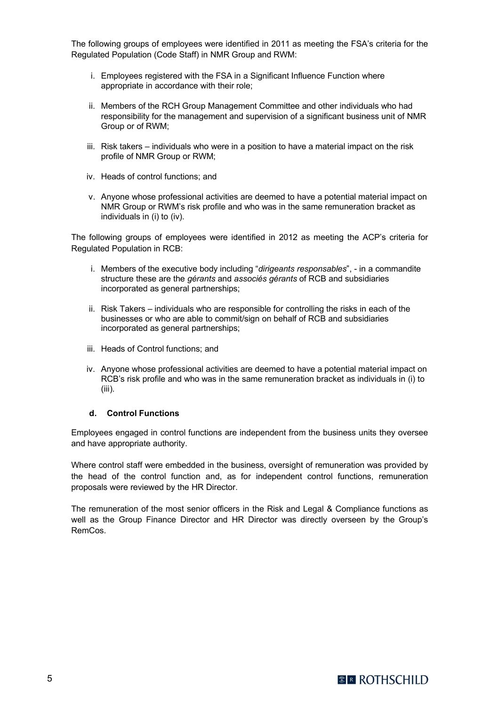The following groups of employees were identified in 2011 as meeting the FSA's criteria for the Regulated Population (Code Staff) in NMR Group and RWM:

- i. Employees registered with the FSA in a Significant Influence Function where appropriate in accordance with their role;
- ii. Members of the RCH Group Management Committee and other individuals who had responsibility for the management and supervision of a significant business unit of NMR Group or of RWM;
- iii. Risk takers individuals who were in a position to have a material impact on the risk profile of NMR Group or RWM;
- iv. Heads of control functions; and
- v. Anyone whose professional activities are deemed to have a potential material impact on NMR Group or RWM's risk profile and who was in the same remuneration bracket as individuals in (i) to (iv).

The following groups of employees were identified in 2012 as meeting the ACP's criteria for Regulated Population in RCB:

- i. Members of the executive body including "*dirigeants responsables*", in a commandite structure these are the *gérants* and *associés gérants* of RCB and subsidiaries incorporated as general partnerships;
- ii. Risk Takers individuals who are responsible for controlling the risks in each of the businesses or who are able to commit/sign on behalf of RCB and subsidiaries incorporated as general partnerships;
- iii. Heads of Control functions; and
- iv. Anyone whose professional activities are deemed to have a potential material impact on RCB's risk profile and who was in the same remuneration bracket as individuals in (i) to (iii).

#### **d. Control Functions**

Employees engaged in control functions are independent from the business units they oversee and have appropriate authority.

Where control staff were embedded in the business, oversight of remuneration was provided by the head of the control function and, as for independent control functions, remuneration proposals were reviewed by the HR Director.

The remuneration of the most senior officers in the Risk and Legal & Compliance functions as well as the Group Finance Director and HR Director was directly overseen by the Group's RemCos.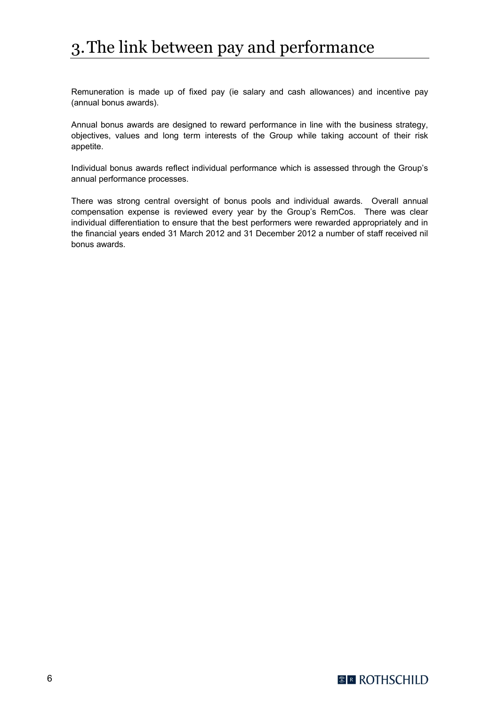# 3.The link between pay and performance

Remuneration is made up of fixed pay (ie salary and cash allowances) and incentive pay (annual bonus awards).

Annual bonus awards are designed to reward performance in line with the business strategy, objectives, values and long term interests of the Group while taking account of their risk appetite.

Individual bonus awards reflect individual performance which is assessed through the Group's annual performance processes.

There was strong central oversight of bonus pools and individual awards. Overall annual compensation expense is reviewed every year by the Group's RemCos. There was clear individual differentiation to ensure that the best performers were rewarded appropriately and in the financial years ended 31 March 2012 and 31 December 2012 a number of staff received nil bonus awards.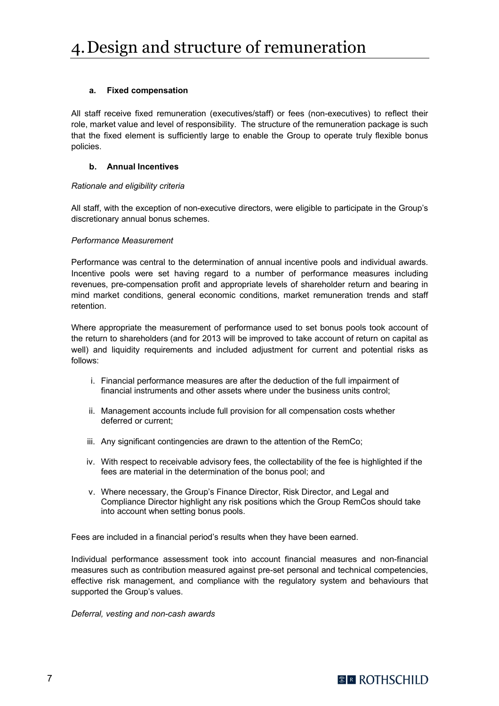#### **a. Fixed compensation**

All staff receive fixed remuneration (executives/staff) or fees (non-executives) to reflect their role, market value and level of responsibility. The structure of the remuneration package is such that the fixed element is sufficiently large to enable the Group to operate truly flexible bonus policies.

#### **b. Annual Incentives**

#### *Rationale and eligibility criteria*

All staff, with the exception of non-executive directors, were eligible to participate in the Group's discretionary annual bonus schemes.

#### *Performance Measurement*

Performance was central to the determination of annual incentive pools and individual awards. Incentive pools were set having regard to a number of performance measures including revenues, pre-compensation profit and appropriate levels of shareholder return and bearing in mind market conditions, general economic conditions, market remuneration trends and staff retention.

Where appropriate the measurement of performance used to set bonus pools took account of the return to shareholders (and for 2013 will be improved to take account of return on capital as well) and liquidity requirements and included adjustment for current and potential risks as follows:

- i. Financial performance measures are after the deduction of the full impairment of financial instruments and other assets where under the business units control;
- ii. Management accounts include full provision for all compensation costs whether deferred or current;
- iii. Any significant contingencies are drawn to the attention of the RemCo;
- iv. With respect to receivable advisory fees, the collectability of the fee is highlighted if the fees are material in the determination of the bonus pool; and
- v. Where necessary, the Group's Finance Director, Risk Director, and Legal and Compliance Director highlight any risk positions which the Group RemCos should take into account when setting bonus pools.

Fees are included in a financial period's results when they have been earned.

Individual performance assessment took into account financial measures and non-financial measures such as contribution measured against pre-set personal and technical competencies, effective risk management, and compliance with the regulatory system and behaviours that supported the Group's values.

*Deferral, vesting and non-cash awards*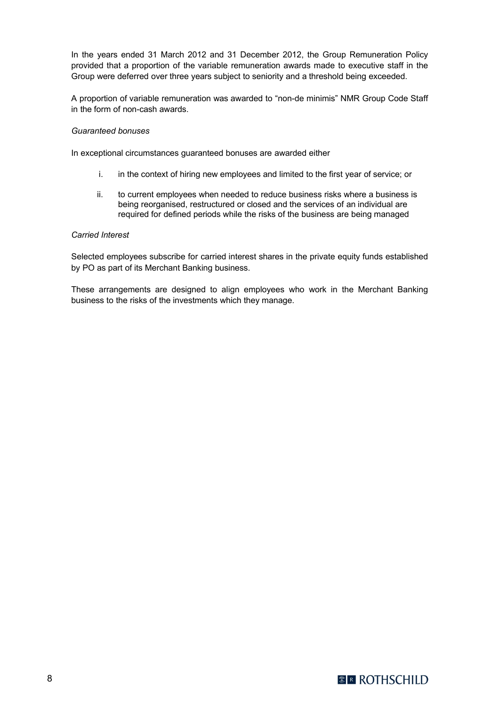In the years ended 31 March 2012 and 31 December 2012, the Group Remuneration Policy provided that a proportion of the variable remuneration awards made to executive staff in the Group were deferred over three years subject to seniority and a threshold being exceeded.

A proportion of variable remuneration was awarded to "non-de minimis" NMR Group Code Staff in the form of non-cash awards.

#### *Guaranteed bonuses*

In exceptional circumstances guaranteed bonuses are awarded either

- i. in the context of hiring new employees and limited to the first year of service; or
- ii. to current employees when needed to reduce business risks where a business is being reorganised, restructured or closed and the services of an individual are required for defined periods while the risks of the business are being managed

#### *Carried Interest*

Selected employees subscribe for carried interest shares in the private equity funds established by PO as part of its Merchant Banking business.

These arrangements are designed to align employees who work in the Merchant Banking business to the risks of the investments which they manage.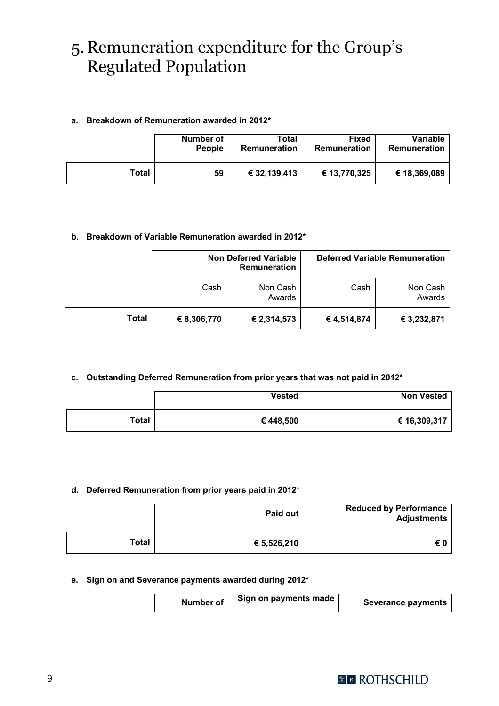# 5.Remuneration expenditure for the Group's Regulated Population

## **a. Breakdown of Remuneration awarded in 2012\***

|       | Number of     | Total        | <b>Fixed</b> | Variable     |
|-------|---------------|--------------|--------------|--------------|
|       | <b>People</b> | Remuneration | Remuneration | Remuneration |
| Total | 59            | € 32,139,413 | € 13,770,325 | € 18,369,089 |

## **b. Breakdown of Variable Remuneration awarded in 2012\***

|       | <b>Non Deferred Variable</b><br><b>Remuneration</b> |                    |             | <b>Deferred Variable Remuneration</b> |
|-------|-----------------------------------------------------|--------------------|-------------|---------------------------------------|
|       | Cash                                                | Non Cash<br>Awards | Cash        | Non Cash<br>Awards                    |
| Total | € 8,306,770                                         | € 2,314,573        | € 4,514,874 | € 3,232,871                           |

## **c. Outstanding Deferred Remuneration from prior years that was not paid in 2012\***

|       | <b>Vested</b> | <b>Non Vested</b> |
|-------|---------------|-------------------|
| Total | €448,500      | € 16,309,317      |

## **d. Deferred Remuneration from prior years paid in 2012\***

|              | Paid out    | <b>Reduced by Performance</b><br><b>Adjustments</b> |
|--------------|-------------|-----------------------------------------------------|
| <b>Total</b> | € 5,526,210 | €0                                                  |

#### **e. Sign on and Severance payments awarded during 2012\***

| Number of | Sign on payments made | <b>Severance payments</b> |
|-----------|-----------------------|---------------------------|
|-----------|-----------------------|---------------------------|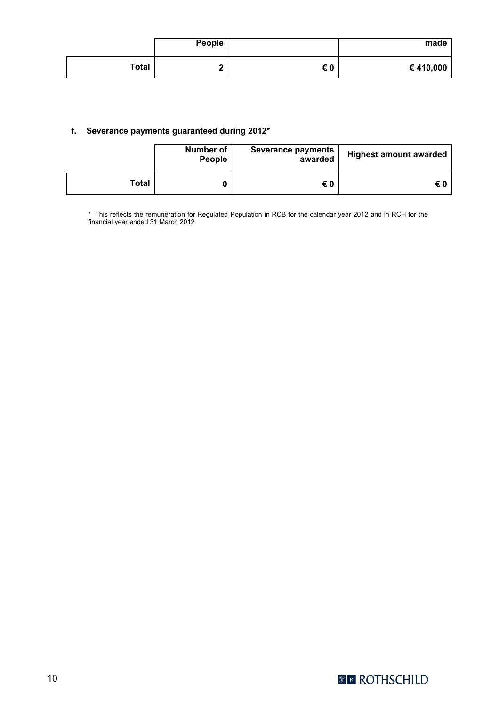|       | People |    | made     |
|-------|--------|----|----------|
| Total | -      | €0 | €410,000 |

#### **f. Severance payments guaranteed during 2012\***

|       | Number of<br>People | <b>Severance payments</b><br>awarded | <b>Highest amount awarded</b> |
|-------|---------------------|--------------------------------------|-------------------------------|
| Total |                     | €0                                   | €0                            |

\* This reflects the remuneration for Regulated Population in RCB for the calendar year 2012 and in RCH for the financial year ended 31 March 2012